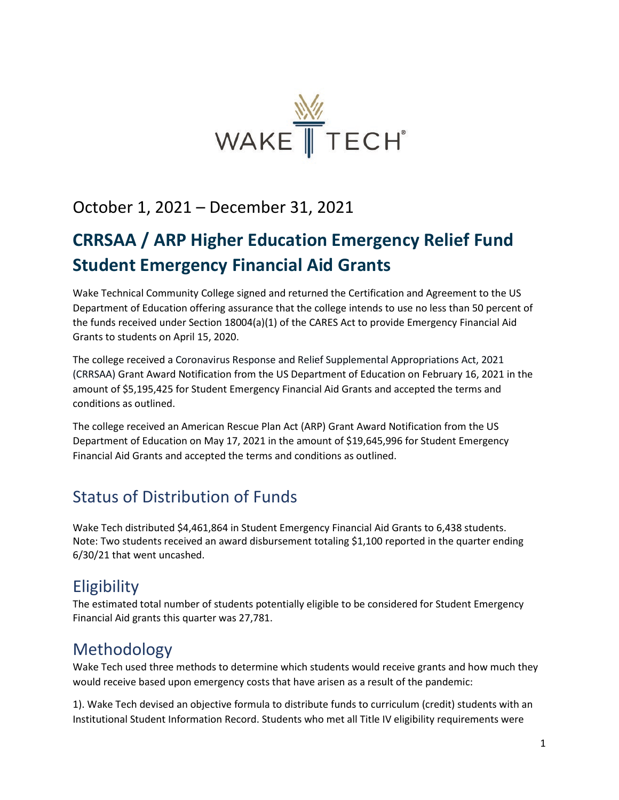

## October 1, 2021 – December 31, 2021

# **CRRSAA / ARP Higher Education Emergency Relief Fund Student Emergency Financial Aid Grants**

Wake Technical Community College signed and returned the Certification and Agreement to the US Department of Education offering assurance that the college intends to use no less than 50 percent of the funds received under Section 18004(a)(1) of the CARES Act to provide Emergency Financial Aid Grants to students on April 15, 2020.

The college received a Coronavirus Response and Relief Supplemental Appropriations Act, 2021 (CRRSAA) Grant Award Notification from the US Department of Education on February 16, 2021 in the amount of \$5,195,425 for Student Emergency Financial Aid Grants and accepted the terms and conditions as outlined.

The college received an American Rescue Plan Act (ARP) Grant Award Notification from the US Department of Education on May 17, 2021 in the amount of \$19,645,996 for Student Emergency Financial Aid Grants and accepted the terms and conditions as outlined.

## Status of Distribution of Funds

Wake Tech distributed \$4,461,864 in Student Emergency Financial Aid Grants to 6,438 students. Note: Two students received an award disbursement totaling \$1,100 reported in the quarter ending 6/30/21 that went uncashed.

#### **Eligibility**

The estimated total number of students potentially eligible to be considered for Student Emergency Financial Aid grants this quarter was 27,781.

#### Methodology

Wake Tech used three methods to determine which students would receive grants and how much they would receive based upon emergency costs that have arisen as a result of the pandemic:

1). Wake Tech devised an objective formula to distribute funds to curriculum (credit) students with an Institutional Student Information Record. Students who met all Title IV eligibility requirements were